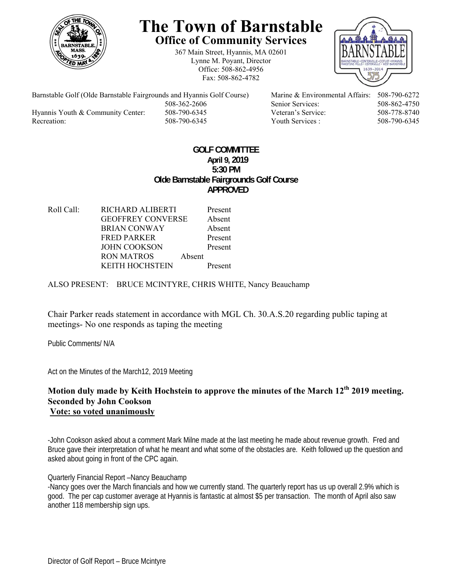

# **The Town of Barnstable Office of Community Services**

367 Main Street, Hyannis, MA 02601 Lynne M. Poyant, Director Office: 508-862-4956 Fax: 508-862-4782



Barnstable Golf (Olde Barnstable Fairgrounds and Hyannis Golf Course) Marine & Environmental Affairs: 508-790-6272 508-362-2606 Senior Services: 508-862-4750 Hyannis Youth & Community Center: 508-790-6345 Veteran's Service: 508-778-8740 Recreation: 508-790-6345 Youth Services : 508-790-6345 S08-790-6345

## **GOLF COMMITTEE April 9, 2019 5:30 PM Olde Barnstable Fairgrounds Golf Course APPROVED**

Roll Call: RICHARD ALIBERTI Present GEOFFREY CONVERSE Absent BRIAN CONWAY Absent FRED PARKER Present JOHN COOKSON Present RON MATROS Absent KEITH HOCHSTEIN Present

ALSO PRESENT: BRUCE MCINTYRE, CHRIS WHITE, Nancy Beauchamp

Chair Parker reads statement in accordance with MGL Ch. 30.A.S.20 regarding public taping at meetings- No one responds as taping the meeting

Public Comments/ N/A

Act on the Minutes of the March12, 2019 Meeting

## Motion duly made by Keith Hochstein to approve the minutes of the March 12<sup>th</sup> 2019 meeting. **Seconded by John Cookson Vote: so voted unanimously**

-John Cookson asked about a comment Mark Milne made at the last meeting he made about revenue growth. Fred and Bruce gave their interpretation of what he meant and what some of the obstacles are. Keith followed up the question and asked about going in front of the CPC again.

### Quarterly Financial Report –Nancy Beauchamp

-Nancy goes over the March financials and how we currently stand. The quarterly report has us up overall 2.9% which is good. The per cap customer average at Hyannis is fantastic at almost \$5 per transaction. The month of April also saw another 118 membership sign ups.